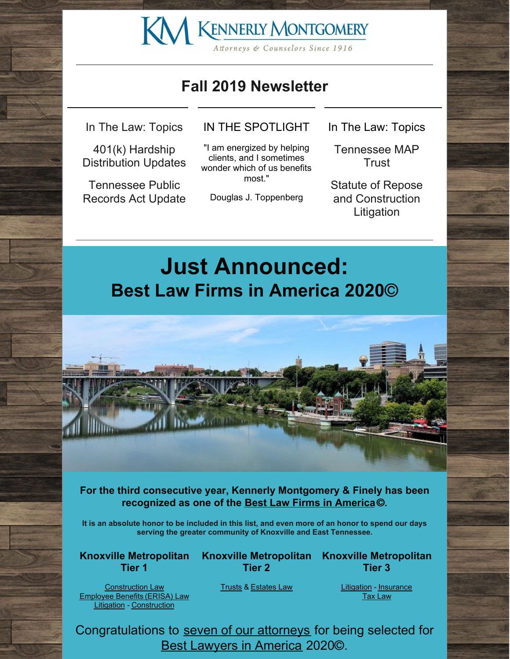KM KENNERLY MONTGOMERY Attorneys & Counselors Since 1916

# **Fall 2019 Newsletter**

In The Law: Topics

401(k) Hardship Distribution Updates

Tennessee Public Records Act Update IN THE SPOTLIGHT

"I am energized by helping clients, and I sometimes wonder which of us benefits most."

Douglas J. Toppenberg

In The Law: Topics

Tennessee MAP **Trust** 

Statute of Repose and Construction **Litigation** 

# **Just Announced: Best Law Firms in America 2020**©



**For the third consecutive year, Kennerly Montgomery & Finely has been recognized as one of the Best Law Firms in [America](https://www.bestlawyers.com/)** ©.

It is an absolute honor to be included in this list, and even more of an honor to spend our days **serving the greater community of Knoxville and East Tennessee.**

**Knoxville Metropolitan Tier 1**

**Knoxville Metropolitan Tier 2**

**Knoxville Metropolitan Tier 3**

[Construction](http://www.kmfpc.com/practice_areas/construction_law.aspx) Law [Employee](http://www.kmfpc.com/practice_areas/pension_and_employee_benefits.aspx) Benefits[\(ERISA\)](http://www.kmfpc.com/practice_areas/erisa_law.aspx) Law [Litigation](http://www.kmfpc.com/practice_areas/civil_litigation_and_appeals.aspx) - [Construction](http://www.kmfpc.com/practice_areas/construction_law.aspx)

[Trusts](http://www.kmfpc.com/practice_areas/probate_and_estate_administration.aspx) & [Estates](http://www.kmfpc.com/practice_areas/estate_planning.aspx) Law

[Litigation](http://www.kmfpc.com/practice_areas/civil_litigation_and_appeals.aspx) - [Insurance](http://www.kmfpc.com/practice_areas/insurance_law.aspx) [Tax](http://www.kmfpc.com/practice_areas/taxation.aspx) Law

Congratulations to seven of our [attorneys](http://www.kmfpc.com/Articles/seven_km_lawyers_included_in_the_best_lawyers_in_america.aspx) for being selected for Best [Lawyers](https://www.bestlawyers.com/) in America 2020©.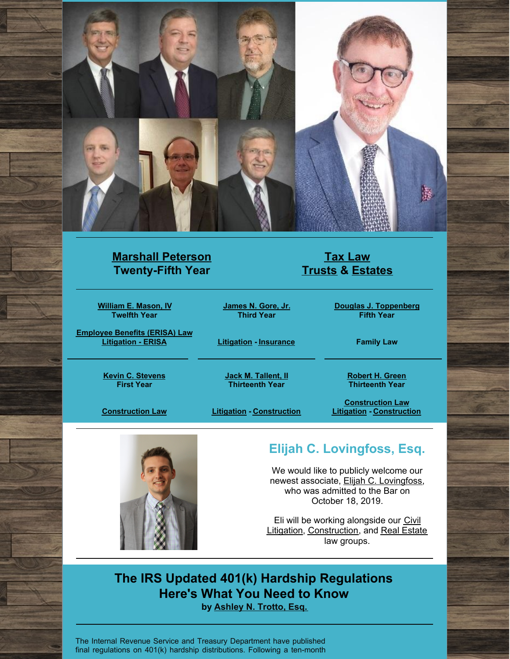

### **Marshall [Peterson](http://www.kmfpc.com/attorneys/marshall_h_peterson.aspx) Twenty-Fifth Year**

**[William](http://www.kmfpc.com/attorneys/bill_mason.aspx) E. Mason, IV Twelfth Year**

**[Employee](http://www.kmfpc.com/practice_areas/pension_and_employee_benefits.aspx) Benefits (ERISA) Law [Litigation](http://www.kmfpc.com/practice_areas/erisa_law.aspx) - ERISA**

> **Kevin C. [Stevens](http://www.kmfpc.com/attorneys/kevin_c_stevens.aspx) First Year**

**[Construction](http://www.kmfpc.com/practice_areas/construction_law.aspx) Law**

**Jack M. [Tallent,](http://www.kmfpc.com/attorneys/jack_m_tallent_ii.aspx) II Thirteenth Year**

**[Litigation](http://www.kmfpc.com/practice_areas/civil_litigation_and_appeals.aspx) - [Construction](http://www.kmfpc.com/practice_areas/construction_law.aspx)**

**[James](http://www.kmfpc.com/attorneys/james_n_gore_jr.aspx) N. Gore, Jr. Third Year**

**Douglas J. [Toppenberg](http://www.kmfpc.com/attorneys/douglas_j_toppenberg.aspx) Fifth Year**

**Tax [Law](http://www.kmfpc.com/practice_areas/taxation.aspx) [Trusts](http://www.kmfpc.com/practice_areas/probate_and_estate_administration.aspx) & [Estates](http://www.kmfpc.com/practice_areas/estate_planning.aspx)**

**[Litigation](http://www.kmfpc.com/practice_areas/civil_litigation_and_appeals.aspx) - [Insurance](http://www.kmfpc.com/practice_areas/insurance_law.aspx)**

**Family Law**

**[Robert](http://www.kmfpc.com/attorneys/robert_h_green.aspx) H. Green Thirteenth Year**

**[Construction](http://www.kmfpc.com/practice_areas/construction_law.aspx) Law [Litigation](http://www.kmfpc.com/practice_areas/civil_litigation_and_appeals.aspx) - [Construction](http://www.kmfpc.com/practice_areas/construction_law.aspx)**



# **Elijah C. Lovingfoss, Esq.**

We would like to publicly welcome our newest associate, Elijah C. [Lovingfoss](http://www.kmfpc.com/attorneys/elijah_c_lovingfoss.aspx), who was admitted to the Bar on October 18, 2019.

Eli will be working alongside our Civil Litigation, [Construction,](http://www.kmfpc.com/practice_areas/civil_litigation_and_appeals.aspx) and Real [Estate](http://www.kmfpc.com/practice_areas/real_estate_law.aspx) law groups.

# **The IRS Updated 401(k) Hardship Regulations Here's What You Need to Know by [Ashley](http://www.kmfpc.com/attorneys/ashley_n_trotto.aspx) N. Trotto, Esq.**

The Internal Revenue Service and Treasury Department have published final regulations on 401(k) hardship distributions. Following a ten-month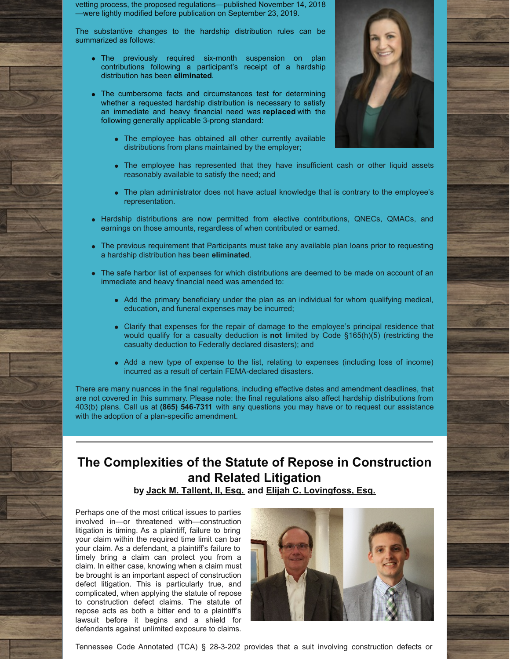vetting process, the proposed regulations—published November 14, 2018 —were lightly modified before publication on September 23, 2019.

The substantive changes to the hardship distribution rules can be summarized as follows:

- The previously required six-month suspension on plan contributions following a participant's receipt of a hardship distribution has been **eliminated**.
- The cumbersome facts and circumstances test for determining whether a requested hardship distribution is necessary to satisfy an immediate and heavy financial need was **replaced** with the following generally applicable 3-prong standard:
	- The employee has obtained all other currently available distributions from plans maintained by the employer;



- The employee has represented that they have insufficient cash or other liquid assets reasonably available to satisfy the need; and
- The plan administrator does not have actual knowledge that is contrary to the employee's representation.
- Hardship distributions are now permitted from elective contributions, QNECs, QMACs, and earnings on those amounts, regardless of when contributed or earned.
- The previous requirement that Participants must take any available plan loans prior to requesting a hardship distribution has been **eliminated**.
- The safe harbor list of expenses for which distributions are deemed to be made on account of an immediate and heavy financial need was amended to:
	- Add the primary beneficiary under the plan as an individual for whom qualifying medical, education, and funeral expenses may be incurred;
	- Clarify that expenses for the repair of damage to the employee's principal residence that would qualify for a casualty deduction is **not** limited by Code §165(h)(5) (restricting the casualty deduction to Federally declared disasters); and
	- Add a new type of expense to the list, relating to expenses (including loss of income) incurred as a result of certain FEMA-declared disasters.

There are many nuances in the final regulations, including effective dates and amendment deadlines, that are not covered in this summary. Please note: the final regulations also affect hardship distributions from 403(b) plans. Call us at **(865) 546-7311** with any questions you may have or to request our assistance with the adoption of a plan-specific amendment.

# **The Complexities of the Statute of Repose in Construction and Related Litigation**

**by Jack M. [Tallent,](http://www.kmfpc.com/attorneys/jack_m_tallent_ii.aspx) II, Esq. and Elijah C. [Lovingfoss,](http://www.kmfpc.com/attorneys/elijah_c_lovingfoss.aspx) Esq.**

Perhaps one of the most critical issues to parties involved in—or threatened with—construction litigation is timing. As a plaintiff, failure to bring your claim within the required time limit can bar your claim. As a defendant, a plaintiff's failure to timely bring a claim can protect you from a claim. In either case, knowing when a claim must be brought is an important aspect of construction defect litigation. This is particularly true, and complicated, when applying the statute of repose to construction defect claims. The statute of repose acts as both a bitter end to a plaintiff's lawsuit before it begins and a shield for defendants against unlimited exposure to claims.



Tennessee Code Annotated (TCA) § 28-3-202 provides that a suit involving construction defects or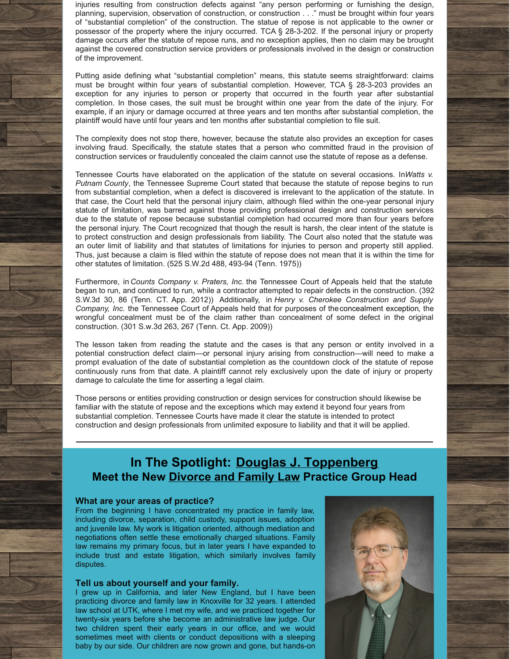injuries resulting from construction defects against "any person performing or furnishing the design, planning, supervision, observation of construction, or construction . . ." must be brought within four years of "substantial completion" of the construction. The statue of repose is not applicable to the owner or possessor of the property where the injury occurred. TCA § 28-3-202. If the personal injury or property damage occurs after the statute of repose runs, and no exception applies, then no claim may be brought against the covered construction service providers or professionals involved in the design or construction of the improvement.

Putting aside defining what "substantial completion" means, this statute seems straightforward: claims must be brought within four years of substantial completion. However, TCA § 28-3-203 provides an exception for any injuries to person or property that occurred in the fourth year after substantial completion. In those cases, the suit must be brought within one year from the date of the injury. For example, if an injury or damage occurred at three years and ten months after substantial completion, the plaintiff would have until four years and ten months after substantial completion to file suit.

The complexity does not stop there, however, because the statute also provides an exception for cases involving fraud. Specifically, the statute states that a person who committed fraud in the provision of construction services or fraudulently concealed the claim cannot use the statute of repose as a defense.

Tennessee Courts have elaborated on the application of the statute on several occasions. In*Watts v. Putnam County*, the Tennessee Supreme Court stated that because the statute of repose begins to run from substantial completion, when a defect is discovered is irrelevant to the application of the statute. In that case, the Court held that the personal injury claim, although filed within the one-year personal injury statute of limitation, was barred against those providing professional design and construction services due to the statute of repose because substantial completion had occurred more than four years before the personal injury. The Court recognized that though the result is harsh, the clear intent of the statute is to protect construction and design professionals from liability. The Court also noted that the statute was an outer limit of liability and that statutes of limitations for injuries to person and property still applied. Thus, just because a claim is filed within the statute of repose does not mean that it is within the time for other statutes of limitation. (525 S.W.2d 488, 493-94 (Tenn. 1975))

Furthermore, in *Counts Company v. Praters, Inc.* the Tennessee Court of Appeals held that the statute began to run, and continued to run, while a contractor attempted to repair defects in the construction. (392 S.W.3d 30, 86 (Tenn. CT. App. 2012)) Additionally, in *Henry v. Cherokee Construction and Supply Company, Inc.* the Tennessee Court of Appeals held that for purposes of theconcealment exception, the wrongful concealment must be of the claim rather than concealment of some defect in the original construction. (301 S.w.3d 263, 267 (Tenn. Ct. App. 2009))

The lesson taken from reading the statute and the cases is that any person or entity involved in a potential construction defect claim—or personal injury arising from construction—will need to make a prompt evaluation of the date of substantial completion as the countdown clock of the statute of repose continuously runs from that date. A plaintiff cannot rely exclusively upon the date of injury or property damage to calculate the time for asserting a legal claim.

Those persons or entities providing construction or design services for construction should likewise be familiar with the statute of repose and the exceptions which may extend it beyond four years from substantial completion. Tennessee Courts have made it clear the statute is intended to protect construction and design professionals from unlimited exposure to liability and that it will be applied.

### **In The Spotlight: Douglas J. [Toppenberg](http://www.kmfpc.com/attorneys/douglas_j_toppenberg.aspx) Meet the New [Divorce](http://www.kmfpc.com/practice_areas/divorce_and_family_law.aspx) and Family Law Practice Group Head**

#### **What are your areas of practice?**

From the beginning I have concentrated my practice in family law, including divorce, separation, child custody, support issues, adoption and juvenile law. My work is litigation oriented, although mediation and negotiations often settle these emotionally charged situations. Family law remains my primary focus, but in later years I have expanded to include trust and estate litigation, which similarly involves family disputes.

#### **Tell us about yourself and your family.**

I grew up in California, and later New England, but I have been practicing divorce and family law in Knoxville for 32 years. I attended law school at UTK, where I met my wife, and we practiced together for twenty-six years before she become an administrative law judge. Our two children spent their early years in our office, and we would sometimes meet with clients or conduct depositions with a sleeping baby by our side. Our children are now grown and gone, but hands-on

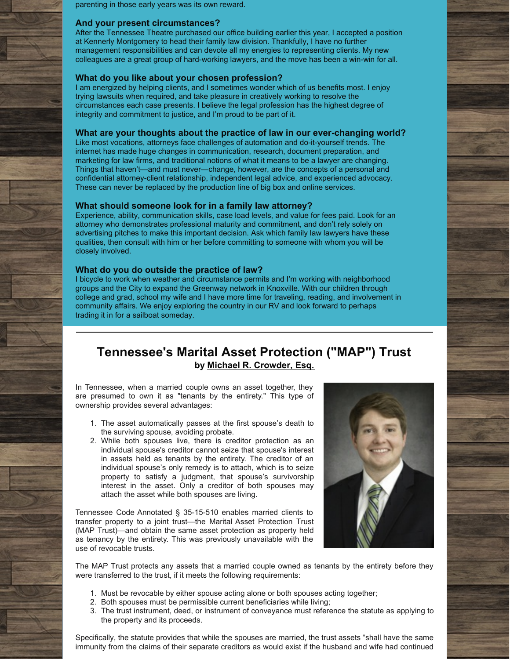parenting in those early years was its own reward.

#### **And your present circumstances?**

After the Tennessee Theatre purchased our office building earlier this year, I accepted a position at Kennerly Montgomery to head their family law division. Thankfully, I have no further management responsibilities and can devote all my energies to representing clients. My new colleagues are a great group of hard-working lawyers, and the move has been a win-win for all.

#### **What do you like about your chosen profession?**

I am energized by helping clients, and I sometimes wonder which of us benefits most. I enjoy trying lawsuits when required, and take pleasure in creatively working to resolve the circumstances each case presents. I believe the legal profession has the highest degree of integrity and commitment to justice, and I'm proud to be part of it.

#### **What are your thoughts about the practice of law in our ever-changing world?**

Like most vocations, attorneys face challenges of automation and do-it-yourself trends. The internet has made huge changes in communication, research, document preparation, and marketing for law firms, and traditional notions of what it means to be a lawyer are changing. Things that haven't—and must never—change, however, are the concepts of a personal and confidential attorney-client relationship, independent legal advice, and experienced advocacy. These can never be replaced by the production line of big box and online services.

#### **What should someone look for in a family law attorney?**

Experience, ability, communication skills, case load levels, and value for fees paid. Look for an attorney who demonstrates professional maturity and commitment, and don't rely solely on advertising pitches to make this important decision. Ask which family law lawyers have these qualities, then consult with him or her before committing to someone with whom you will be closely involved.

#### **What do you do outside the practice of law?**

I bicycle to work when weather and circumstance permits and I'm working with neighborhood groups and the City to expand the Greenway network in Knoxville. With our children through college and grad, school my wife and I have more time for traveling, reading, and involvement in community affairs. We enjoy exploring the country in our RV and look forward to perhaps trading it in for a sailboat someday.

### **Tennessee's Marital Asset Protection ("MAP") Trust by Michael R. [Crowder,](http://www.kmfpc.com/attorneys/michael_r_crowder.aspx) Esq.**

In Tennessee, when a married couple owns an asset together, they are presumed to own it as "tenants by the entirety." This type of ownership provides several advantages:

- 1. The asset automatically passes at the first spouse's death to the surviving spouse, avoiding probate.
- 2. While both spouses live, there is creditor protection as an individual spouse's creditor cannot seize that spouse's interest in assets held as tenants by the entirety. The creditor of an individual spouse's only remedy is to attach, which is to seize property to satisfy a judgment, that spouse's survivorship interest in the asset. Only a creditor of both spouses may attach the asset while both spouses are living.

Tennessee Code Annotated § 35-15-510 enables married clients to transfer property to a joint trust—the Marital Asset Protection Trust (MAP Trust)—and obtain the same asset protection as property held as tenancy by the entirety. This was previously unavailable with the use of revocable trusts.



The MAP Trust protects any assets that a married couple owned as tenants by the entirety before they were transferred to the trust, if it meets the following requirements:

- 1. Must be revocable by either spouse acting alone or both spouses acting together;
- 2. Both spouses must be permissible current beneficiaries while living;
- 3. The trust instrument, deed, or instrument of conveyance must reference the statute as applying to the property and its proceeds.

Specifically, the statute provides that while the spouses are married, the trust assets "shall have the same immunity from the claims of their separate creditors as would exist if the husband and wife had continued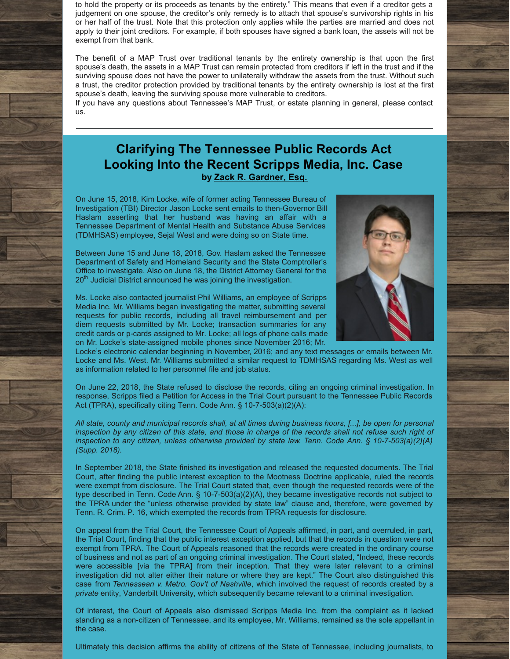to hold the property or its proceeds as tenants by the entirety." This means that even if a creditor gets a judgement on one spouse, the creditor's only remedy is to attach that spouse's survivorship rights in his or her half of the trust. Note that this protection only applies while the parties are married and does not apply to their joint creditors. For example, if both spouses have signed a bank loan, the assets will not be exempt from that bank.

The benefit of a MAP Trust over traditional tenants by the entirety ownership is that upon the first spouse's death, the assets in a MAP Trust can remain protected from creditors if left in the trust and if the surviving spouse does not have the power to unilaterally withdraw the assets from the trust. Without such a trust, the creditor protection provided by traditional tenants by the entirety ownership is lost at the first spouse's death, leaving the surviving spouse more vulnerable to creditors.

If you have any questions about Tennessee's MAP Trust, or estate planning in general, please contact us.

# **Clarifying The Tennessee Public Records Act Looking Into the Recent Scripps Media, Inc. Case by Zack R. [Gardner,](http://www.kmfpc.com/attorneys/zack_r_gardner.aspx) Esq.**

On June 15, 2018, Kim Locke, wife of former acting Tennessee Bureau of Investigation (TBI) Director Jason Locke sent emails to then-Governor Bill Haslam asserting that her husband was having an affair with a Tennessee Department of Mental Health and Substance Abuse Services (TDMHSAS) employee, Sejal West and were doing so on State time.

Between June 15 and June 18, 2018, Gov. Haslam asked the Tennessee Department of Safety and Homeland Security and the State Comptroller's Office to investigate. Also on June 18, the District Attorney General for the 20<sup>th</sup> Judicial District announced he was joining the investigation.

Ms. Locke also contacted journalist Phil Williams, an employee of Scripps Media Inc. Mr. Williams began investigating the matter, submitting several requests for public records, including all travel reimbursement and per diem requests submitted by Mr. Locke; transaction summaries for any credit cards or p-cards assigned to Mr. Locke; all logs of phone calls made on Mr. Locke's state-assigned mobile phones since November 2016; Mr.



Locke's electronic calendar beginning in November, 2016; and any text messages or emails between Mr. Locke and Ms. West. Mr. Williams submitted a similar request to TDMHSAS regarding Ms. West as well as information related to her personnel file and job status.

On June 22, 2018, the State refused to disclose the records, citing an ongoing criminal investigation. In response, Scripps filed a Petition for Access in the Trial Court pursuant to the Tennessee Public Records Act (TPRA), specifically citing Tenn. Code Ann. § 10-7-503(a)(2)(A):

All state, county and municipal records shall, at all times during business hours, [...], be open for personal inspection by any citizen of this state, and those in charge of the records shall not refuse such right of *inspection to any citizen, unless otherwise provided by state law. Tenn. Code Ann. § 10-7-503(a)(2)(A) (Supp. 2018).*

In September 2018, the State finished its investigation and released the requested documents. The Trial Court, after finding the public interest exception to the Mootness Doctrine applicable, ruled the records were exempt from disclosure. The Trial Court stated that, even though the requested records were of the type described in Tenn. Code Ann. § 10-7-503(a)(2)(A), they became investigative records not subject to the TPRA under the "unless otherwise provided by state law" clause and, therefore, were governed by Tenn. R. Crim. P. 16, which exempted the records from TPRA requests for disclosure.

On appeal from the Trial Court, the Tennessee Court of Appeals affirmed, in part, and overruled, in part, the Trial Court, finding that the public interest exception applied, but that the records in question were not exempt from TPRA. The Court of Appeals reasoned that the records were created in the ordinary course of business and not as part of an ongoing criminal investigation. The Court stated, "Indeed, these records were accessible [via the TPRA] from their inception. That they were later relevant to a criminal investigation did not alter either their nature or where they are kept." The Court also distinguished this case from *Tennessean v. Metro. Gov't of Nashville*, which involved the request of records created by a *private* entity, Vanderbilt University, which subsequently became relevant to a criminal investigation.

Of interest, the Court of Appeals also dismissed Scripps Media Inc. from the complaint as it lacked standing as a non-citizen of Tennessee, and its employee, Mr. Williams, remained as the sole appellant in the case.

Ultimately this decision affirms the ability of citizens of the State of Tennessee, including journalists, to